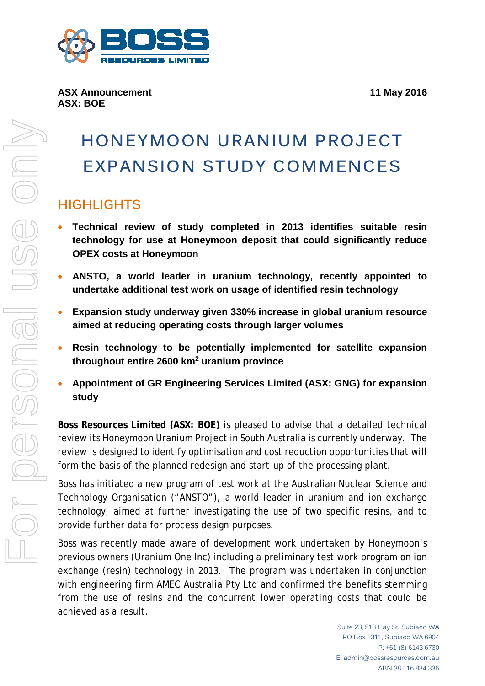

# **HONEYMOON URANIUM PROJECT EXPANSION STUDY COMMENCES**

## **HIGHLIGHTS**

- **Technical review of study completed in 2013 identifies suitable resin technology for use at Honeymoon deposit that could significantly reduce OPEX costs at Honeymoon**
- **ANSTO, a world leader in uranium technology, recently appointed to undertake additional test work on usage of identified resin technology**
- **Expansion study underway given 330% increase in global uranium resource aimed at reducing operating costs through larger volumes**
- **Resin technology to be potentially implemented for satellite expansion throughout entire 2600 km2 uranium province**
- **Appointment of GR Engineering Services Limited (ASX: GNG) for expansion study**

**Boss Resources Limited (ASX: BOE)** is pleased to advise that a detailed technical review its Honeymoon Uranium Project in South Australia is currently underway. The review is designed to identify optimisation and cost reduction opportunities that will form the basis of the planned redesign and start-up of the processing plant.

Boss has initiated a new program of test work at the Australian Nuclear Science and Technology Organisation ("ANSTO"), a world leader in uranium and ion exchange technology, aimed at further investigating the use of two specific resins, and to provide further data for process design purposes.

Boss was recently made aware of development work undertaken by Honeymoon's previous owners (Uranium One Inc) including a preliminary test work program on ion exchange (resin) technology in 2013. The program was undertaken in conjunction with engineering firm AMEC Australia Pty Ltd and confirmed the benefits stemming from the use of resins and the concurrent lower operating costs that could be achieved as a result.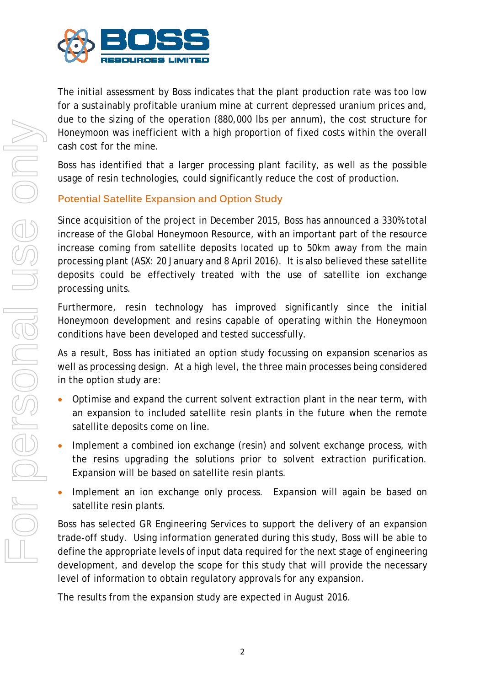

The initial assessment by Boss indicates that the plant production rate was too low for a sustainably profitable uranium mine at current depressed uranium prices and, due to the sizing of the operation (880,000 lbs per annum), the cost structure for Honeymoon was inefficient with a high proportion of fixed costs within the overall cash cost for the mine.

Boss has identified that a larger processing plant facility, as well as the possible usage of resin technologies, could significantly reduce the cost of production.

### **Potential Satellite Expansion and Option Study**

Since acquisition of the project in December 2015, Boss has announced a 330% total increase of the Global Honeymoon Resource, with an important part of the resource increase coming from satellite deposits located up to 50km away from the main processing plant (ASX: 20 January and 8 April 2016). It is also believed these satellite deposits could be effectively treated with the use of satellite ion exchange processing units.

Furthermore, resin technology has improved significantly since the initial Honeymoon development and resins capable of operating within the Honeymoon conditions have been developed and tested successfully.

As a result, Boss has initiated an option study focussing on expansion scenarios as well as processing design. At a high level, the three main processes being considered in the option study are:

- Optimise and expand the current solvent extraction plant in the near term, with an expansion to included satellite resin plants in the future when the remote satellite deposits come on line.
- Implement a combined ion exchange (resin) and solvent exchange process, with the resins upgrading the solutions prior to solvent extraction purification. Expansion will be based on satellite resin plants.
- Implement an ion exchange only process. Expansion will again be based on satellite resin plants.

Boss has selected GR Engineering Services to support the delivery of an expansion trade-off study. Using information generated during this study, Boss will be able to define the appropriate levels of input data required for the next stage of engineering development, and develop the scope for this study that will provide the necessary level of information to obtain regulatory approvals for any expansion.

The results from the expansion study are expected in August 2016.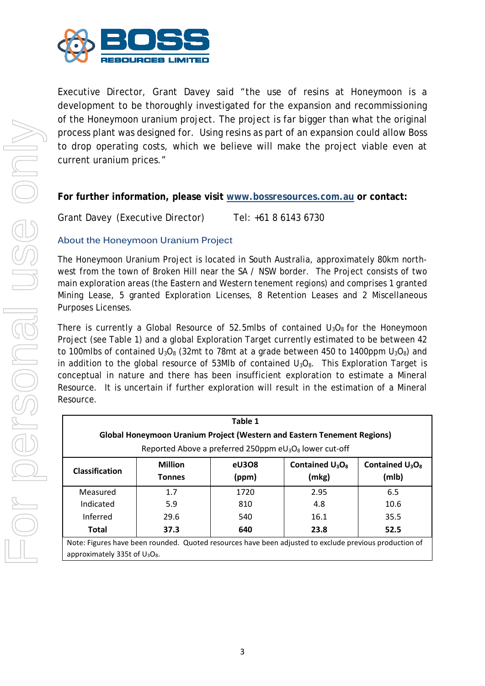

Executive Director, Grant Davey said "the use of resins at Honeymoon is a development to be thoroughly investigated for the expansion and recommissioning of the Honeymoon uranium project. The project is far bigger than what the original process plant was designed for. Using resins as part of an expansion could allow Boss to drop operating costs, which we believe will make the project viable even at current uranium prices."

#### **For further information, please visit [www.bossresources.com.au](http://www.bossresources.com.au/) or contact:**

Grant Davey (Executive Director) Tel: +61 8 6143 6730

#### **About the Honeymoon Uranium Project**

The Honeymoon Uranium Project is located in South Australia, approximately 80km northwest from the town of Broken Hill near the SA / NSW border. The Project consists of two main exploration areas (the Eastern and Western tenement regions) and comprises 1 granted Mining Lease, 5 granted Exploration Licenses, 8 Retention Leases and 2 Miscellaneous Purposes Licenses.

There is currently a Global Resource of 52.5mlbs of contained  $U_3O_8$  for the Honeymoon Project (see Table 1) and a global Exploration Target currently estimated to be between 42 to 100mlbs of contained  $U_3O_8$  (32mt to 78mt at a grade between 450 to 1400ppm  $U_3O_8$ ) and in addition to the global resource of 53Mlb of contained  $U_3O_8$ . This Exploration Target is conceptual in nature and there has been insufficient exploration to estimate a Mineral Resource. It is uncertain if further exploration will result in the estimation of a Mineral Resource.

| Table 1<br><b>Global Honeymoon Uranium Project (Western and Eastern Tenement Regions)</b><br>Reported Above a preferred 250ppm $eU_3O_8$ lower cut-off |                                 |                                                                                                                 |                             |                             |
|--------------------------------------------------------------------------------------------------------------------------------------------------------|---------------------------------|-----------------------------------------------------------------------------------------------------------------|-----------------------------|-----------------------------|
| <b>Classification</b>                                                                                                                                  | <b>Million</b><br><b>Tonnes</b> | eU308<br>(ppm)                                                                                                  | Contained $U_3O_8$<br>(mkg) | Contained $U_3O_8$<br>(mlb) |
| Measured                                                                                                                                               | 1.7                             | 1720                                                                                                            | 2.95                        | 6.5                         |
| Indicated                                                                                                                                              | 5.9                             | 810                                                                                                             | 4.8                         | 10.6                        |
| Inferred                                                                                                                                               | 29.6                            | 540                                                                                                             | 16.1                        | 35.5                        |
| <b>Total</b>                                                                                                                                           | 37.3                            | 640<br>Notai Figures have hanner rounded. Oughod recourses have been adjusted to ovelude provisue production of | 23.8                        | 52.5                        |

Note: Figures have been rounded. Quoted resources have been adjusted to exclude previous production of approximately 335t of U<sub>3</sub>O<sub>8</sub>.